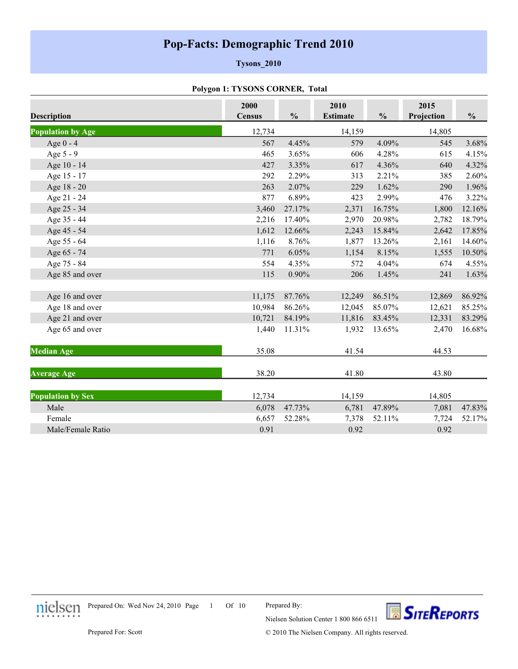# **Pop-Facts: Demographic Trend 2010**

### **Tysons\_2010**

### **Polygon 1: TYSONS CORNER, Total**

| <b>Description</b>       | 2000<br><b>Census</b> | $\frac{0}{0}$ | 2010<br><b>Estimate</b> | $\frac{0}{0}$ | 2015<br>Projection | $\frac{0}{0}$ |
|--------------------------|-----------------------|---------------|-------------------------|---------------|--------------------|---------------|
|                          |                       |               |                         |               |                    |               |
| <b>Population by Age</b> | 12,734                |               | 14,159                  |               | 14,805             |               |
| Age $0 - 4$              | 567                   | 4.45%         | 579                     | 4.09%         | 545                | 3.68%         |
| Age 5 - 9                | 465                   | 3.65%         | 606                     | 4.28%         | 615                | 4.15%         |
| Age 10 - 14              | 427                   | 3.35%         | 617                     | 4.36%         | 640                | 4.32%         |
| Age 15 - 17              | 292                   | 2.29%         | 313                     | 2.21%         | 385                | 2.60%         |
| Age 18 - 20              | 263                   | 2.07%         | 229                     | 1.62%         | 290                | 1.96%         |
| Age 21 - 24              | 877                   | 6.89%         | 423                     | 2.99%         | 476                | 3.22%         |
| Age 25 - 34              | 3,460                 | 27.17%        | 2,371                   | 16.75%        | 1,800              | 12.16%        |
| Age 35 - 44              | 2,216                 | 17.40%        | 2,970                   | 20.98%        | 2,782              | 18.79%        |
| Age 45 - 54              | 1,612                 | 12.66%        | 2,243                   | 15.84%        | 2,642              | 17.85%        |
| Age 55 - 64              | 1,116                 | 8.76%         | 1,877                   | 13.26%        | 2,161              | 14.60%        |
| Age 65 - 74              | 771                   | 6.05%         | 1,154                   | 8.15%         | 1,555              | 10.50%        |
| Age 75 - 84              | 554                   | 4.35%         | 572                     | 4.04%         | 674                | 4.55%         |
| Age 85 and over          | 115                   | 0.90%         | 206                     | 1.45%         | 241                | 1.63%         |
| Age 16 and over          | 11,175                | 87.76%        | 12,249                  | 86.51%        | 12,869             | 86.92%        |
| Age 18 and over          | 10,984                | 86.26%        | 12,045                  | 85.07%        | 12,621             | 85.25%        |
| Age 21 and over          | 10,721                | 84.19%        | 11,816                  | 83.45%        | 12,331             | 83.29%        |
| Age 65 and over          | 1,440                 | 11.31%        | 1,932                   | 13.65%        | 2,470              | 16.68%        |
| <b>Median Age</b>        | 35.08                 |               | 41.54                   |               | 44.53              |               |
| <b>Average Age</b>       | 38.20                 |               | 41.80                   |               | 43.80              |               |
| <b>Population by Sex</b> | 12,734                |               | 14,159                  |               | 14,805             |               |
| Male                     | 6,078                 | 47.73%        | 6,781                   | 47.89%        | 7,081              | 47.83%        |
| Female                   | 6,657                 | 52.28%        | 7,378                   | 52.11%        | 7,724              | 52.17%        |
| Male/Female Ratio        | 0.91                  |               | 0.92                    |               | 0.92               |               |



 $1$  Of  $10$ Prepared On: Wed Nov 24, 2010 Page

Prepared By:



© 2010 The Nielsen Company. All rights reserved.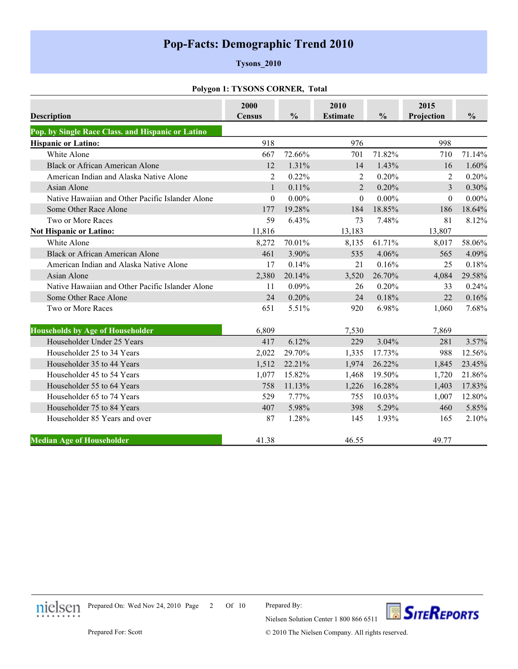# **Pop-Facts: Demographic Trend 2010**

### **Tysons\_2010**

#### **Polygon 1: TYSONS CORNER, Total**

| <b>Description</b>                                | 2000<br><b>Census</b> | $\frac{0}{0}$ | 2010<br><b>Estimate</b> | $\frac{0}{0}$ | 2015<br>Projection | $\frac{0}{0}$ |
|---------------------------------------------------|-----------------------|---------------|-------------------------|---------------|--------------------|---------------|
| Pop. by Single Race Class. and Hispanic or Latino |                       |               |                         |               |                    |               |
| <b>Hispanic or Latino:</b>                        | 918                   |               | 976                     |               | 998                |               |
| White Alone                                       | 667                   | 72.66%        | 701                     | 71.82%        | 710                | 71.14%        |
| <b>Black or African American Alone</b>            | 12                    | 1.31%         | 14                      | 1.43%         | 16                 | 1.60%         |
| American Indian and Alaska Native Alone           | 2                     | 0.22%         | 2                       | 0.20%         | 2                  | 0.20%         |
| Asian Alone                                       | 1                     | 0.11%         | $\overline{2}$          | 0.20%         | 3                  | 0.30%         |
| Native Hawaiian and Other Pacific Islander Alone  | $\theta$              | $0.00\%$      | $\theta$                | $0.00\%$      | $\theta$           | $0.00\%$      |
| Some Other Race Alone                             | 177                   | 19.28%        | 184                     | 18.85%        | 186                | 18.64%        |
| Two or More Races                                 | 59                    | 6.43%         | 73                      | 7.48%         | 81                 | 8.12%         |
| <b>Not Hispanic or Latino:</b>                    | 11,816                |               | 13,183                  |               | 13,807             |               |
| White Alone                                       | 8,272                 | 70.01%        | 8,135                   | 61.71%        | 8,017              | 58.06%        |
| <b>Black or African American Alone</b>            | 461                   | 3.90%         | 535                     | 4.06%         | 565                | 4.09%         |
| American Indian and Alaska Native Alone           | 17                    | 0.14%         | 21                      | 0.16%         | 25                 | 0.18%         |
| Asian Alone                                       | 2,380                 | 20.14%        | 3,520                   | 26.70%        | 4,084              | 29.58%        |
| Native Hawaiian and Other Pacific Islander Alone  | 11                    | 0.09%         | 26                      | 0.20%         | 33                 | 0.24%         |
| Some Other Race Alone                             | 24                    | 0.20%         | 24                      | 0.18%         | 22                 | 0.16%         |
| Two or More Races                                 | 651                   | 5.51%         | 920                     | 6.98%         | 1,060              | 7.68%         |
| <b>Households by Age of Householder</b>           | 6,809                 |               | 7,530                   |               | 7,869              |               |
| Householder Under 25 Years                        | 417                   | 6.12%         | 229                     | 3.04%         | 281                | 3.57%         |
| Householder 25 to 34 Years                        | 2,022                 | 29.70%        | 1,335                   | 17.73%        | 988                | 12.56%        |
| Householder 35 to 44 Years                        | 1,512                 | 22.21%        | 1,974                   | 26.22%        | 1,845              | 23.45%        |
| Householder 45 to 54 Years                        | 1,077                 | 15.82%        | 1,468                   | 19.50%        | 1,720              | 21.86%        |
| Householder 55 to 64 Years                        | 758                   | 11.13%        | 1,226                   | 16.28%        | 1,403              | 17.83%        |
| Householder 65 to 74 Years                        | 529                   | 7.77%         | 755                     | 10.03%        | 1,007              | 12.80%        |
| Householder 75 to 84 Years                        | 407                   | 5.98%         | 398                     | 5.29%         | 460                | 5.85%         |
| Householder 85 Years and over                     | 87                    | 1.28%         | 145                     | 1.93%         | 165                | 2.10%         |
| <b>Median Age of Householder</b>                  | 41.38                 |               | 46.55                   |               | 49.77              |               |



2 Of 10 Prepared On: Wed Nov 24, 2010 Page

Prepared By:



© 2010 The Nielsen Company. All rights reserved.